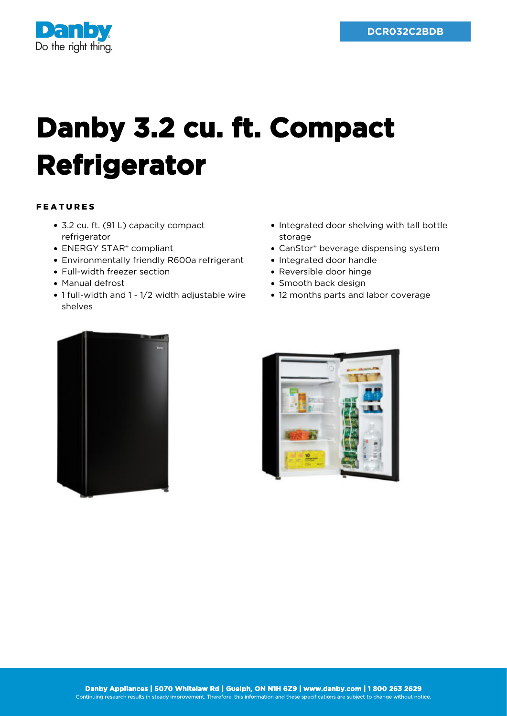

## **Danby 3.2 cu. ft. Compact Refrigerator**

## FEATURES

- 3.2 cu. ft. (91 L) capacity compact refrigerator
- ENERGY STAR<sup>®</sup> compliant
- Environmentally friendly R600a refrigerant
- Full-width freezer section
- Manual defrost
- 1 full-width and 1 1/2 width adjustable wire shelves
- Integrated door shelving with tall bottle storage
- CanStor® beverage dispensing system
- Integrated door handle
- Reversible door hinge
- Smooth back design
- 12 months parts and labor coverage